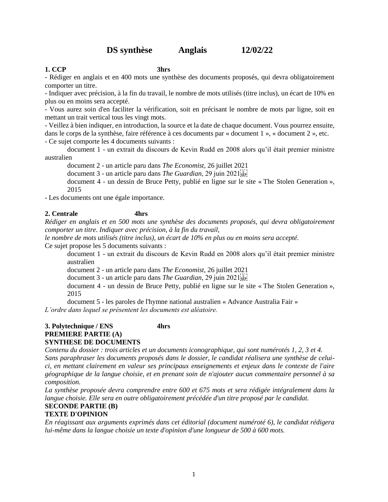# **DS synthèse Anglais 12/02/22**

## **1. CCP 3hrs**

- Rédiger en anglais et en 400 mots une synthèse des documents proposés, qui devra obligatoirement comporter un titre.

- Indiquer avec précision, à la fin du travail, le nombre de mots utilisés (titre inclus), un écart de 10% en plus ou en moins sera accepté.

- Vous aurez soin d'en faciliter la vérification, soit en précisant le nombre de mots par ligne, soit en mettant un trait vertical tous les vingt mots.

- Veillez à bien indiquer, en introduction, la source et la date de chaque document. Vous pourrez ensuite, dans le corps de la synthèse, faire référence à ces documents par « document 1 », « document 2 », etc.

- Ce sujet comporte les 4 documents suivants :

document 1 - un extrait du discours de Kevin Rudd en 2008 alors qu'il était premier ministre australien

document 2 - un article paru dans *The Economist*, 26 juillet 2021

document 3 - un article paru dans *The Guardian*, 29 juin 2021

document 4 - un dessin de Bruce Petty, publié en ligne sur le site « The Stolen Generation », 2015

- Les documents ont une égale importance.

## **2. Centrale 4hrs**

*Rédiger en anglais et en 500 mots une synthèse des documents proposés, qui devra obligatoirement comporter un titre. Indiquer avec précision, à la fin du travail,* 

*le nombre de mots utilisés (titre inclus), un écart de 10% en plus ou en moins sera accepté.* Ce sujet propose les 5 documents suivants :

document 1 - un extrait du discours de Kevin Rudd en 2008 alors qu'il était premier ministre australien

document 2 - un article paru dans *The Economist*, 26 juillet 2021

document 3 - un article paru dans *The Guardian*, 29 juin 2021

document 4 - un dessin de Bruce Petty, publié en ligne sur le site « The Stolen Generation », 2015

document 5 - les paroles de l'hymne national australien « Advance Australia Fair » *L'ordre dans lequel se présentent les documents est aléatoire.* 

## **3. Polytechnique / ENS 4hrs PREMIERE PARTIE (A) SYNTHESE DE DOCUMENTS**

*Contenu du dossier : trois articles et un documents iconographique, qui sont numérotés 1, 2, 3 et 4. Sans paraphraser les documents proposés dans le dossier, le candidat réalisera une synthèse de celuici, en mettant clairement en valeur ses principaux enseignements et enjeux dans le contexte de l'aire géographique de la langue choisie, et en prenant soin de n'ajouter aucun commentaire personnel à sa composition.* 

*La synthèse proposée devra comprendre entre 600 et 675 mots et sera rédigée intégralement dans la langue choisie. Elle sera en outre obligatoirement précédée d'un titre proposé par le candidat.* 

# **SECONDE PARTIE (B)**

## **TEXTE D'OPINION**

*En réagissant aux arguments exprimés dans cet éditorial (document numéroté 6), le candidat rédigera lui-même dans la langue choisie un texte d'opinion d'une longueur de 500 à 600 mots.*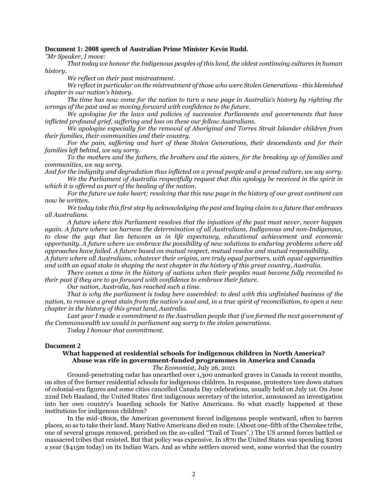#### **Document 1: 2008 speech of Australian Prime Minister Kevin Rudd.**

*"Mr Speaker, I move:* 

*That today we honour the Indigenous peoples of this land, the oldest continuing cultures in human history.* 

*We reflect on their past mistreatment.* 

*We reflect in particular on the mistreatment of those who were Stolen Generations - this blemished chapter in our nation's history.* 

*The time has now come for the nation to turn a new page in Australia's history by righting the wrongs of the past and so moving forward with confidence to the future.* 

*We apologise for the laws and policies of successive Parliaments and governments that have inflicted profound grief, suffering and loss on these our fellow Australians.* 

*We apologise especially for the removal of Aboriginal and Torres Strait Islander children from their families, their communities and their country.* 

*For the pain, suffering and hurt of these Stolen Generations, their descendants and for their families left behind, we say sorry.* 

*To the mothers and the fathers, the brothers and the sisters, for the breaking up of families and communities, we say sorry.* 

*And for the indignity and degradation thus inflicted on a proud people and a proud culture, we say sorry. We the Parliament of Australia respectfully request that this apology be received in the spirit in* 

*which it is offered as part of the healing of the nation.* 

*For the future we take heart; resolving that this new page in the history of our great continent can now be written.* 

*We today take this first step by acknowledging the past and laying claim to a future that embraces all Australians.* 

*A future where this Parliament resolves that the injustices of the past must never, never happen again. A future where we harness the determination of all Australians, Indigenous and non-Indigenous, to close the gap that lies between us in life expectancy, educational achievement and economic opportunity. A future where we embrace the possibility of new solutions to enduring problems where old approaches have failed. A future based on mutual respect, mutual resolve and mutual responsibility.* 

*A future where all Australians, whatever their origins, are truly equal partners, with equal opportunities and with an equal stake in shaping the next chapter in the history of this great country, Australia.* 

*There comes a time in the history of nations when their peoples must become fully reconciled to their past if they are to go forward with confidence to embrace their future.* 

*Our nation, Australia, has reached such a time.* 

*That is why the parliament is today here assembled: to deal with this unfinished business of the nation, to remove a great stain from the nation's soul and, in a true spirit of reconciliation, to open a new chapter in the history of this great land, Australia.* 

*Last year I made a commitment to the Australian people that if we formed the next government of the Commonwealth we would in parliament say sorry to the stolen generations.* 

*Today I honour that commitment.* 

#### **Document 2**

#### **What happened at residential schools for indigenous children in North America? Abuse was rife in government-funded programmes in America and Canada** *The Economist*, July 26, 2021

Ground-penetrating radar has unearthed over 1,300 unmarked graves in Canada in recent months, on sites of five former residential schools for indigenous children. In response, protesters tore down statues of colonial-era figures and some cities cancelled Canada Day celebrations, usually held on July 1st. On June 22nd Deb Haaland, the United States' first indigenous secretary of the interior, announced an investigation into her own country's boarding schools for Native Americans. So what exactly happened at these institutions for indigenous children?

In the mid-1800s, the American government forced indigenous people westward, often to barren places, so as to take their land. Many Native Americans died en route. (About one-fifth of the Cherokee tribe, one of several groups removed, perished on the so-called "Trail of Tears".) The US armed forces battled or massacred tribes that resisted. But that policy was expensive. In 1870 the United States was spending \$20m a year (\$415m today) on its Indian Wars. And as white settlers moved west, some worried that the country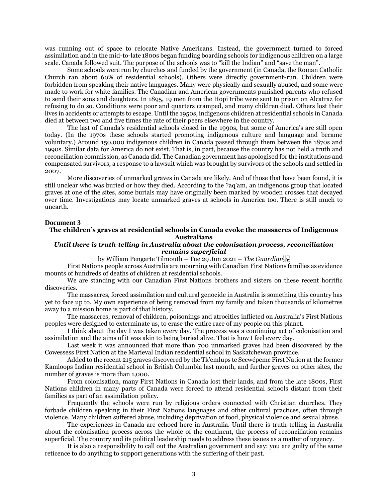was running out of space to relocate Native Americans. Instead, the government turned to forced assimilation and in the mid-to-late 1800s began funding boarding schools for indigenous children on a large scale. Canada followed suit. The purpose of the schools was to "kill the Indian" and "save the man".

Some schools were run by churches and funded by the government (in Canada, the Roman Catholic Church ran about 60% of residential schools). Others were directly government-run. Children were forbidden from speaking their native languages. Many were physically and sexually abused, and some were made to work for white families. The Canadian and American governments punished parents who refused to send their sons and daughters. In 1895, 19 men from the Hopi tribe were sent to prison on Alcatraz for refusing to do so. Conditions were poor and quarters cramped, and many children died. Others lost their lives in accidents or attempts to escape. Until the 1950s, indigenous children at residential schools in Canada died at between two and five times the rate of their peers elsewhere in the country.

The last of Canada's residential schools closed in the 1990s, but some of America's are still open today. (In the 1970s these schools started promoting indigenous culture and language and became voluntary.) Around 150,000 indigenous children in Canada passed through them between the 1870s and 1990s. Similar data for America do not exist. That is, in part, because the country has not held a truth and reconciliation commission, as Canada did. The Canadian government has apologised for the institutions and compensated survivors, a response to a lawsuit which was brought by survivors of the schools and settled in 2007.

More discoveries of unmarked graves in Canada are likely. And of those that have been found, it is still unclear who was buried or how they died. According to the ?aq'am, an indigenous group that located graves at one of the sites, some burials may have originally been marked by wooden crosses that decayed over time. Investigations may locate unmarked graves at schools in America too. There is still much to unearth.

#### **Document 3**

## **The children's graves at residential schools in Canada evoke the massacres of Indigenous Australians**

### *Until there is truth-telling in Australia about the colonisation process, reconciliation remains superficial*

by William Pengarte Tilmouth – Tue 29 Jun 2021 – *The Guardian* 

First Nations people across Australia are mourning with Canadian First Nations families as evidence mounts of hundreds of deaths of children at residential schools.

We are standing with our Canadian First Nations brothers and sisters on these recent horrific discoveries.

The massacres, forced assimilation and cultural genocide in Australia is something this country has yet to face up to. My own experience of being removed from my family and taken thousands of kilometres away to a mission home is part of that history.

The massacres, removal of children, poisonings and atrocities inflicted on Australia's First Nations peoples were designed to exterminate us, to erase the entire race of my people on this planet.

I think about the day I was taken every day. The process was a continuing act of colonisation and assimilation and the aims of it was akin to being buried alive. That is how I feel every day.

Last week it was announced that more than 700 unmarked graves had been discovered by the Cowessess First Nation at the Marieval Indian residential school in Saskatchewan province.

Added to the recent 215 graves discovered by the Tk'emlups te Secwépemc First Nation at the former Kamloops Indian residential school in British Columbia last month, and further graves on other sites, the number of graves is more than 1,000.

From colonisation, many First Nations in Canada lost their lands, and from the late 1800s, First Nations children in many parts of Canada were forced to attend residential schools distant from their families as part of an assimilation policy.

Frequently the schools were run by religious orders connected with Christian churches. They forbade children speaking in their First Nations languages and other cultural practices, often through violence. Many children suffered abuse, including deprivation of food, physical violence and sexual abuse.

The experiences in Canada are echoed here in Australia. Until there is truth-telling in Australia about the colonisation process across the whole of the continent, the process of reconciliation remains superficial. The country and its political leadership needs to address these issues as a matter of urgency.

It is also a responsibility to call out the Australian government and say: you are guilty of the same reticence to do anything to support generations with the suffering of their past.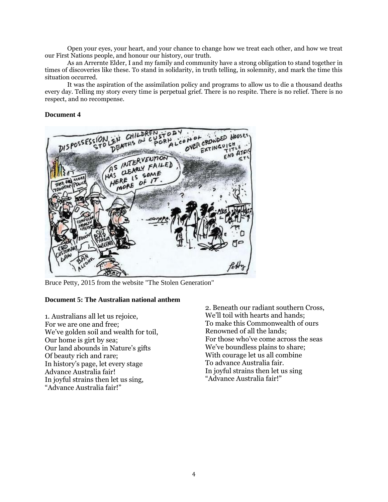Open your eyes, your heart, and your chance to change how we treat each other, and how we treat our First Nations people, and honour our history, our truth.

As an Arrernte Elder, I and my family and community have a strong obligation to stand together in times of discoveries like these. To stand in solidarity, in truth telling, in solemnity, and mark the time this situation occurred.

It was the aspiration of the assimilation policy and programs to allow us to die a thousand deaths every day. Telling my story every time is perpetual grief. There is no respite. There is no relief. There is no respect, and no recompense.

## **Document 4**



Bruce Petty, 2015 from the website "The Stolen Generation"

## **Document 5: The Australian national anthem**

1. Australians all let us rejoice, For we are one and free; We've golden soil and wealth for toil, Our home is girt by sea; Our land abounds in Nature's gifts Of beauty rich and rare; In history's page, let every stage Advance Australia fair! In joyful strains then let us sing, "Advance Australia fair!"

2. Beneath our radiant southern Cross, We'll toil with hearts and hands; To make this Commonwealth of ours Renowned of all the lands; For those who've come across the seas We've boundless plains to share; With courage let us all combine To advance Australia fair. In joyful strains then let us sing "Advance Australia fair!"